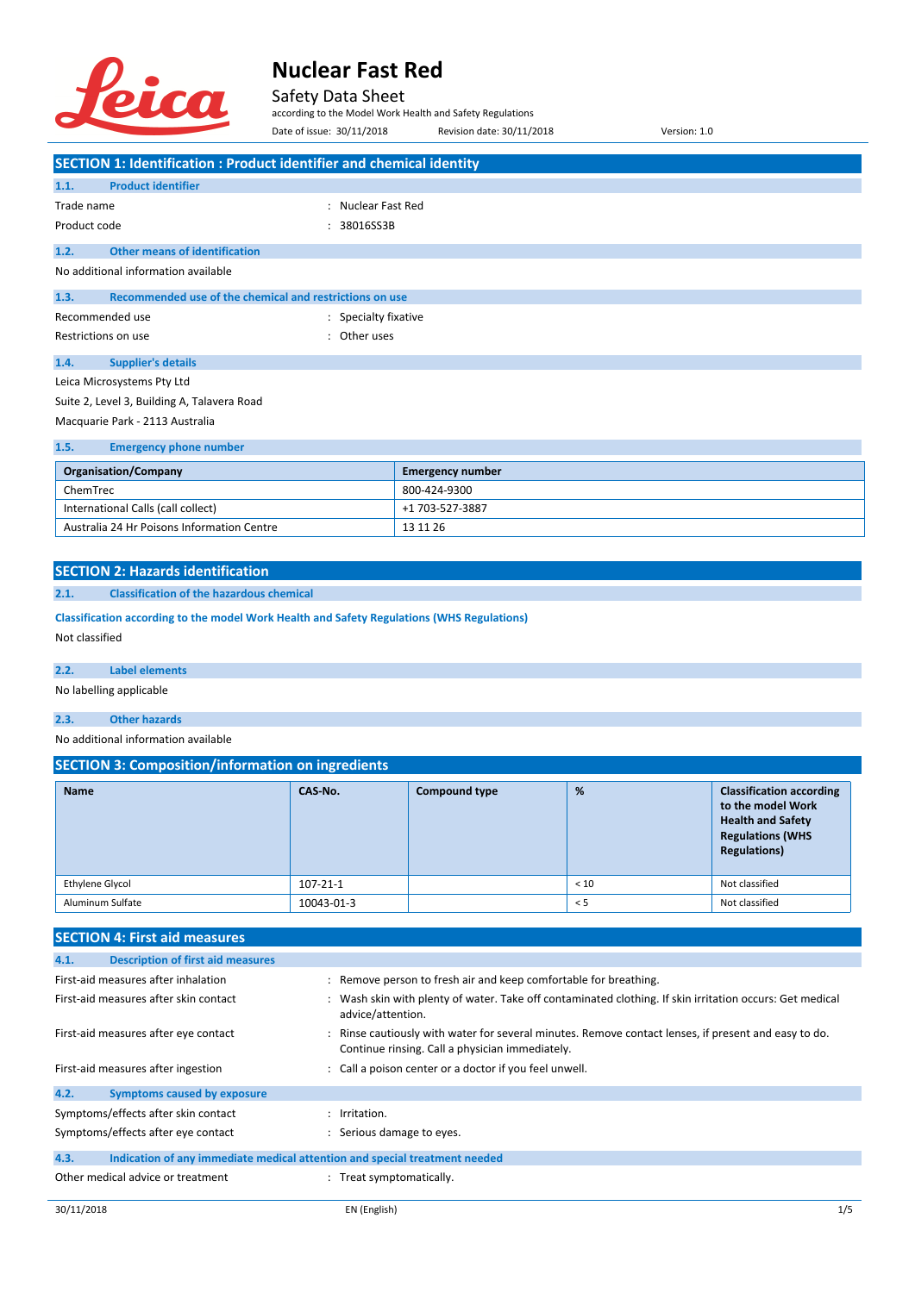

Safety Data Sheet

according to the Model Work Health and Safety Regulations Date of issue: 30/11/2018 Revision date: 30/11/2018 Version: 1.0

|                                     | SECTION 1: Identification : Product identifier and chemical identity |                      |                                                                                 |  |
|-------------------------------------|----------------------------------------------------------------------|----------------------|---------------------------------------------------------------------------------|--|
| 1.1.                                | <b>Product identifier</b>                                            |                      |                                                                                 |  |
| Trade name                          |                                                                      | : Nuclear Fast Red   |                                                                                 |  |
| Product code                        |                                                                      | 38016SS3B            |                                                                                 |  |
| 1.2.                                | <b>Other means of identification</b>                                 |                      |                                                                                 |  |
| No additional information available |                                                                      |                      |                                                                                 |  |
| 1.3.                                | Recommended use of the chemical and restrictions on use              |                      |                                                                                 |  |
| Recommended use                     |                                                                      | : Specialty fixative |                                                                                 |  |
|                                     | Restrictions on use                                                  | : Other uses         |                                                                                 |  |
| 1.4.                                | <b>Supplier's details</b>                                            |                      |                                                                                 |  |
|                                     | Leica Microsystems Pty Ltd                                           |                      |                                                                                 |  |
|                                     | Suite 2, Level 3, Building A, Talavera Road                          |                      |                                                                                 |  |
| Macquarie Park - 2113 Australia     |                                                                      |                      |                                                                                 |  |
| 1.5.                                | <b>Emergency phone number</b>                                        |                      |                                                                                 |  |
|                                     |                                                                      |                      | the contract of the contract of the contract of the contract of the contract of |  |

| <b>Organisation/Company</b>                | <b>Emergency number</b> |
|--------------------------------------------|-------------------------|
| ChemTrec                                   | 800-424-9300            |
| International Calls (call collect)         | +1 703-527-3887         |
| Australia 24 Hr Poisons Information Centre | 13 11 26                |

#### **SECTION 2: Hazards identification**

#### **2.1. Classification of the hazardous chemical**

**Classification according to the model Work Health and Safety Regulations (WHS Regulations)** Not classified

#### **2.2. Label elements**

No labelling applicable

#### **2.3. Other hazards**

No additional information available

### **SECTION 3: Composition/information on ingredients**

| <b>Name</b>      | CAS-No.        | <b>Compound type</b> | %    | <b>Classification according</b><br>to the model Work<br><b>Health and Safety</b><br><b>Regulations (WHS</b><br><b>Regulations)</b> |
|------------------|----------------|----------------------|------|------------------------------------------------------------------------------------------------------------------------------------|
| Ethylene Glycol  | $107 - 21 - 1$ |                      | < 10 | Not classified                                                                                                                     |
| Aluminum Sulfate | 10043-01-3     |                      | < 5  | Not classified                                                                                                                     |

### **SECTION 4: First aid measures**

| : Wash skin with plenty of water. Take off contaminated clothing. If skin irritation occurs: Get medical |
|----------------------------------------------------------------------------------------------------------|
| : Rinse cautiously with water for several minutes. Remove contact lenses, if present and easy to do.     |
|                                                                                                          |
|                                                                                                          |
|                                                                                                          |
|                                                                                                          |
|                                                                                                          |
|                                                                                                          |
|                                                                                                          |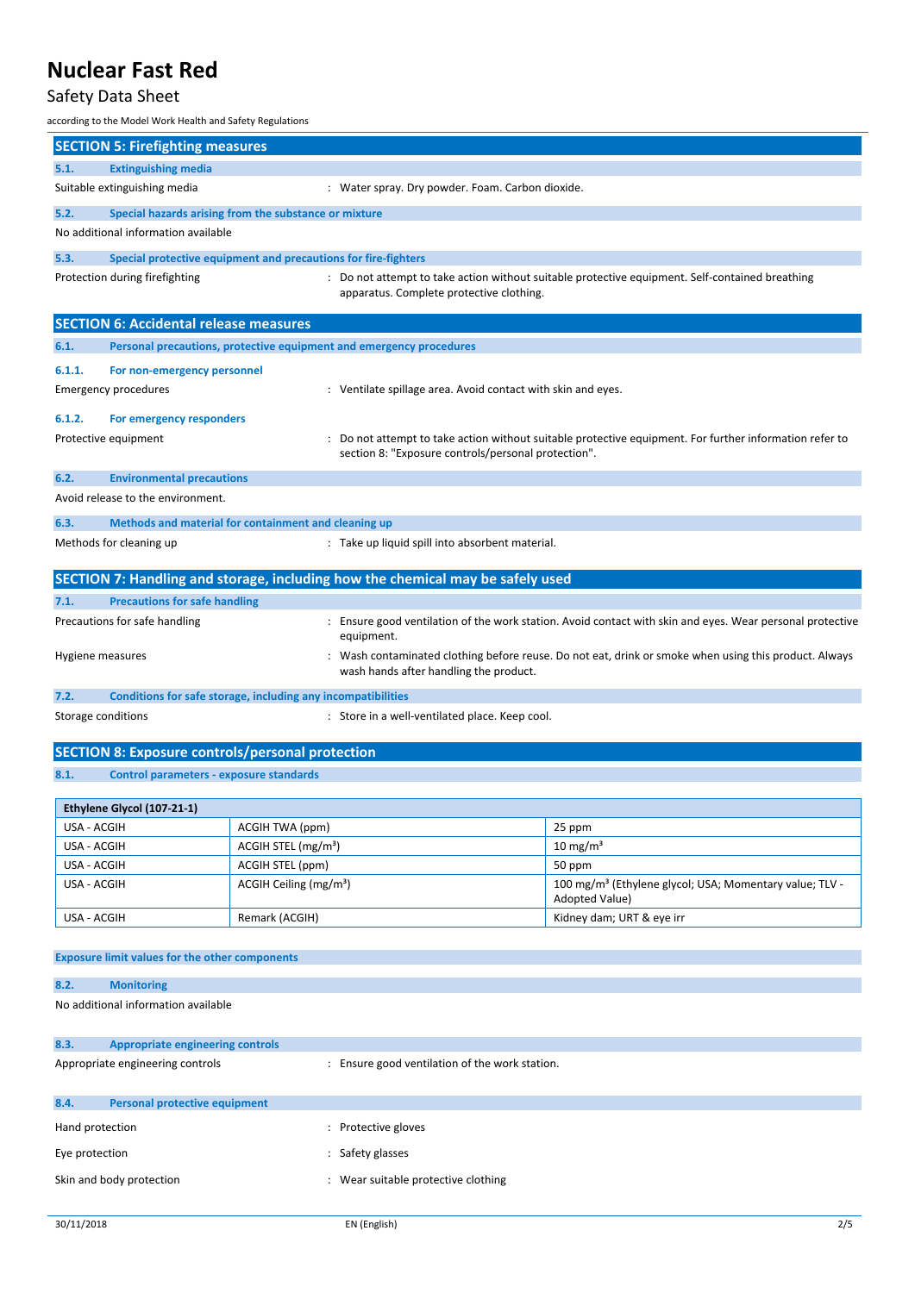## Safety Data Sheet

according to the Model Work Health and Safety Regulations

| ccording to the Model Work Health and Safety Regulations                                                                                                                      |                                                                |                                                                                                                                               |                                                                                                       |  |  |
|-------------------------------------------------------------------------------------------------------------------------------------------------------------------------------|----------------------------------------------------------------|-----------------------------------------------------------------------------------------------------------------------------------------------|-------------------------------------------------------------------------------------------------------|--|--|
| <b>SECTION 5: Firefighting measures</b>                                                                                                                                       |                                                                |                                                                                                                                               |                                                                                                       |  |  |
| 5.1.<br><b>Extinguishing media</b>                                                                                                                                            |                                                                |                                                                                                                                               |                                                                                                       |  |  |
| Suitable extinguishing media                                                                                                                                                  | : Water spray. Dry powder. Foam. Carbon dioxide.               |                                                                                                                                               |                                                                                                       |  |  |
| 5.2.                                                                                                                                                                          | Special hazards arising from the substance or mixture          |                                                                                                                                               |                                                                                                       |  |  |
| No additional information available                                                                                                                                           |                                                                |                                                                                                                                               |                                                                                                       |  |  |
| 5.3.                                                                                                                                                                          | Special protective equipment and precautions for fire-fighters |                                                                                                                                               |                                                                                                       |  |  |
| Protection during firefighting<br>: Do not attempt to take action without suitable protective equipment. Self-contained breathing<br>apparatus. Complete protective clothing. |                                                                |                                                                                                                                               |                                                                                                       |  |  |
| <b>SECTION 6: Accidental release measures</b>                                                                                                                                 |                                                                |                                                                                                                                               |                                                                                                       |  |  |
| 6.1.                                                                                                                                                                          |                                                                | Personal precautions, protective equipment and emergency procedures                                                                           |                                                                                                       |  |  |
| For non-emergency personnel<br>6.1.1.                                                                                                                                         |                                                                |                                                                                                                                               |                                                                                                       |  |  |
| Emergency procedures                                                                                                                                                          |                                                                | : Ventilate spillage area. Avoid contact with skin and eyes.                                                                                  |                                                                                                       |  |  |
| 6.1.2.<br>For emergency responders                                                                                                                                            |                                                                |                                                                                                                                               |                                                                                                       |  |  |
| Protective equipment                                                                                                                                                          |                                                                | section 8: "Exposure controls/personal protection".                                                                                           | Do not attempt to take action without suitable protective equipment. For further information refer to |  |  |
| 6.2.<br><b>Environmental precautions</b>                                                                                                                                      |                                                                |                                                                                                                                               |                                                                                                       |  |  |
| Avoid release to the environment.                                                                                                                                             |                                                                |                                                                                                                                               |                                                                                                       |  |  |
| 6.3.                                                                                                                                                                          | Methods and material for containment and cleaning up           |                                                                                                                                               |                                                                                                       |  |  |
| Methods for cleaning up                                                                                                                                                       |                                                                | : Take up liquid spill into absorbent material.                                                                                               |                                                                                                       |  |  |
|                                                                                                                                                                               |                                                                | SECTION 7: Handling and storage, including how the chemical may be safely used                                                                |                                                                                                       |  |  |
| <b>Precautions for safe handling</b><br>7.1.                                                                                                                                  |                                                                |                                                                                                                                               |                                                                                                       |  |  |
| Precautions for safe handling                                                                                                                                                 |                                                                | : Ensure good ventilation of the work station. Avoid contact with skin and eyes. Wear personal protective<br>equipment.                       |                                                                                                       |  |  |
| Hygiene measures                                                                                                                                                              |                                                                | Wash contaminated clothing before reuse. Do not eat, drink or smoke when using this product. Always<br>wash hands after handling the product. |                                                                                                       |  |  |
| 7.2.                                                                                                                                                                          | Conditions for safe storage, including any incompatibilities   |                                                                                                                                               |                                                                                                       |  |  |
| Storage conditions                                                                                                                                                            | : Store in a well-ventilated place. Keep cool.                 |                                                                                                                                               |                                                                                                       |  |  |
| <b>SECTION 8: Exposure controls/personal protection</b>                                                                                                                       |                                                                |                                                                                                                                               |                                                                                                       |  |  |
| 8.1.                                                                                                                                                                          | <b>Control parameters - exposure standards</b>                 |                                                                                                                                               |                                                                                                       |  |  |
| Ethylene Glycol (107-21-1)                                                                                                                                                    |                                                                |                                                                                                                                               |                                                                                                       |  |  |
| USA - ACGIH                                                                                                                                                                   | ACGIH TWA (ppm)                                                |                                                                                                                                               | 25 ppm                                                                                                |  |  |
| USA - ACGIH                                                                                                                                                                   | ACGIH STEL (mg/m <sup>3</sup> )                                |                                                                                                                                               | 10 mg/m $3$                                                                                           |  |  |
| USA - ACGIH                                                                                                                                                                   | ACGIH STEL (ppm)                                               |                                                                                                                                               | 50 ppm                                                                                                |  |  |
| USA - ACGIH                                                                                                                                                                   | ACGIH Ceiling (mg/m <sup>3</sup> )                             |                                                                                                                                               | 100 mg/m <sup>3</sup> (Ethylene glycol; USA; Momentary value; TLV -<br>Adopted Value)                 |  |  |
| USA - ACGIH                                                                                                                                                                   | Remark (ACGIH)                                                 |                                                                                                                                               | Kidney dam; URT & eye irr                                                                             |  |  |
| <b>Exposure limit values for the other components</b>                                                                                                                         |                                                                |                                                                                                                                               |                                                                                                       |  |  |
| 8.2.<br><b>Monitoring</b>                                                                                                                                                     |                                                                |                                                                                                                                               |                                                                                                       |  |  |
| No additional information available                                                                                                                                           |                                                                |                                                                                                                                               |                                                                                                       |  |  |
| 8.3.<br><b>Appropriate engineering controls</b>                                                                                                                               |                                                                |                                                                                                                                               |                                                                                                       |  |  |
| Appropriate engineering controls                                                                                                                                              |                                                                | : Ensure good ventilation of the work station.                                                                                                |                                                                                                       |  |  |
| 8.4.<br><b>Personal protective equipment</b>                                                                                                                                  |                                                                |                                                                                                                                               |                                                                                                       |  |  |
| Hand protection                                                                                                                                                               |                                                                | Protective gloves                                                                                                                             |                                                                                                       |  |  |

Eye protection **Example 20** and Eye protection **contains the Safety glasses** Skin and body protection **intervalse and the set of the set of the set of the set of the set of the set of the set of the set of the set of the set of the set of the set of the set of the set of the set of the set of the s**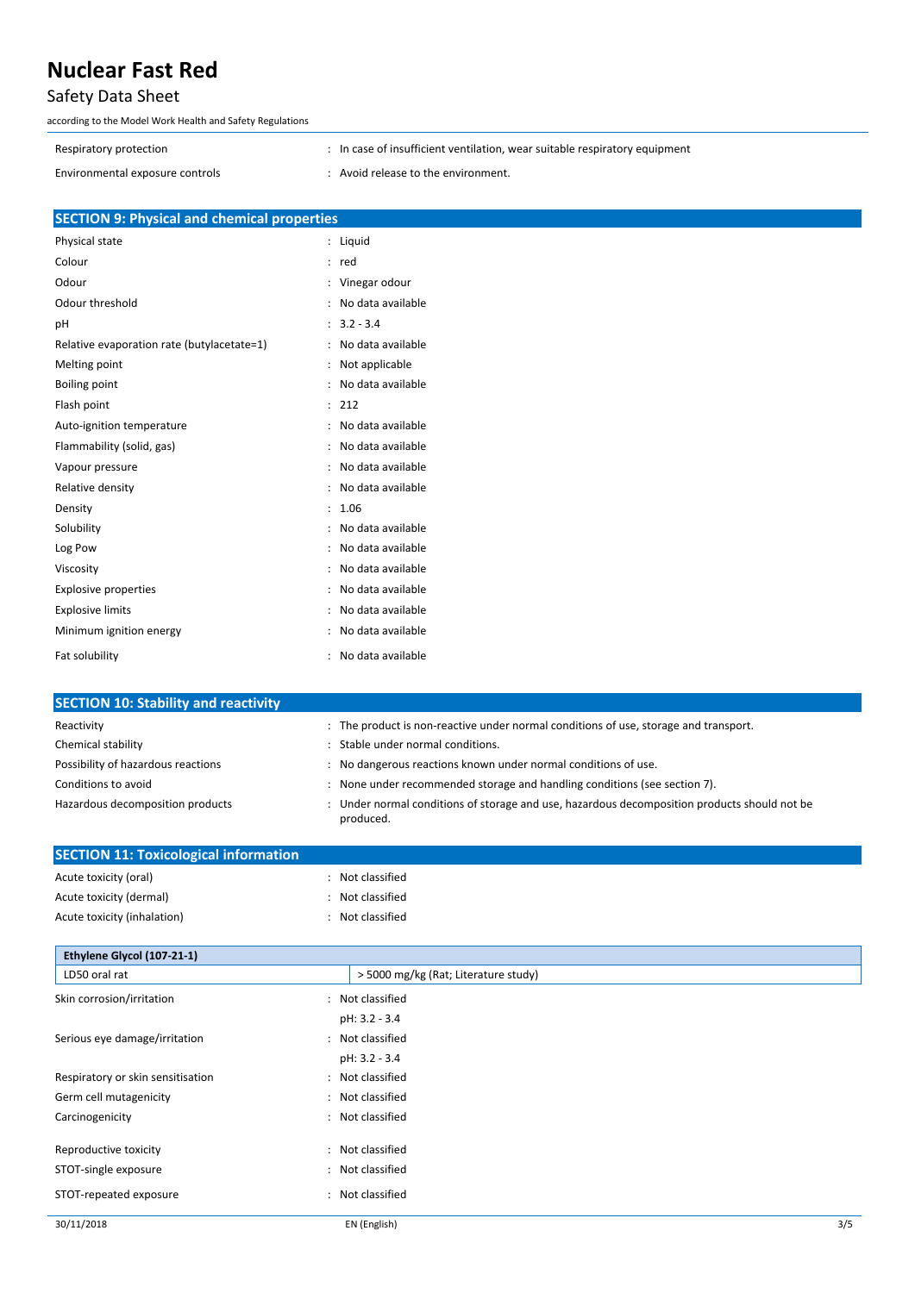## Safety Data Sheet

according to the Model Work Health and Safety Regulations

Respiratory protection **interval in the set of insufficient ventilation**, wear suitable respiratory equipment

Environmental exposure controls  $\cdot$  : Avoid release to the environment.

|  | <b>SECTION 9: Physical and chemical properties</b> |  |
|--|----------------------------------------------------|--|
|  |                                                    |  |

| Physical state                             |                      | Liquid            |
|--------------------------------------------|----------------------|-------------------|
| Colour                                     | $\ddot{\cdot}$       | red               |
| Odour                                      |                      | Vinegar odour     |
| Odour threshold                            |                      | No data available |
| рH                                         | $\ddot{\phantom{a}}$ | $3.2 - 3.4$       |
| Relative evaporation rate (butylacetate=1) |                      | No data available |
| Melting point                              | $\ddot{\cdot}$       | Not applicable    |
| <b>Boiling point</b>                       |                      | No data available |
| Flash point                                | $\ddot{\cdot}$       | 212               |
| Auto-ignition temperature                  |                      | No data available |
| Flammability (solid, gas)                  |                      | No data available |
| Vapour pressure                            |                      | No data available |
| Relative density                           |                      | No data available |
| Density                                    | $\ddot{\phantom{a}}$ | 1.06              |
| Solubility                                 |                      | No data available |
| Log Pow                                    |                      | No data available |
| Viscosity                                  |                      | No data available |
| <b>Explosive properties</b>                |                      | No data available |
| <b>Explosive limits</b>                    |                      | No data available |
| Minimum ignition energy                    |                      | No data available |
| Fat solubility                             |                      | No data available |

| <b>SECTION 10: Stability and reactivity</b> |                                                                                                           |
|---------------------------------------------|-----------------------------------------------------------------------------------------------------------|
| Reactivity                                  | : The product is non-reactive under normal conditions of use, storage and transport.                      |
| Chemical stability                          | : Stable under normal conditions.                                                                         |
| Possibility of hazardous reactions          | : No dangerous reactions known under normal conditions of use.                                            |
| Conditions to avoid                         | : None under recommended storage and handling conditions (see section 7).                                 |
| Hazardous decomposition products            | : Under normal conditions of storage and use, hazardous decomposition products should not be<br>produced. |

| <b>SECTION 11: Toxicological information</b> |                                        |     |
|----------------------------------------------|----------------------------------------|-----|
| Acute toxicity (oral)                        | : Not classified                       |     |
| Acute toxicity (dermal)                      | Not classified<br>$\ddot{\phantom{a}}$ |     |
| Acute toxicity (inhalation)                  | : Not classified                       |     |
| Ethylene Glycol (107-21-1)                   |                                        |     |
| LD50 oral rat                                | > 5000 mg/kg (Rat; Literature study)   |     |
| Skin corrosion/irritation                    | Not classified<br>$\ddot{\phantom{a}}$ |     |
|                                              | pH: 3.2 - 3.4                          |     |
| Serious eye damage/irritation                | : Not classified                       |     |
|                                              | pH: 3.2 - 3.4                          |     |
| Respiratory or skin sensitisation            | Not classified<br>$\ddot{\phantom{a}}$ |     |
| Germ cell mutagenicity                       | Not classified<br>$\ddot{\phantom{a}}$ |     |
| Carcinogenicity                              | : Not classified                       |     |
| Reproductive toxicity                        | Not classified<br>$\ddot{\phantom{a}}$ |     |
| STOT-single exposure                         | Not classified<br>$\ddot{\phantom{a}}$ |     |
| STOT-repeated exposure                       | Not classified<br>÷                    |     |
| 30/11/2018                                   | EN (English)                           | 3/5 |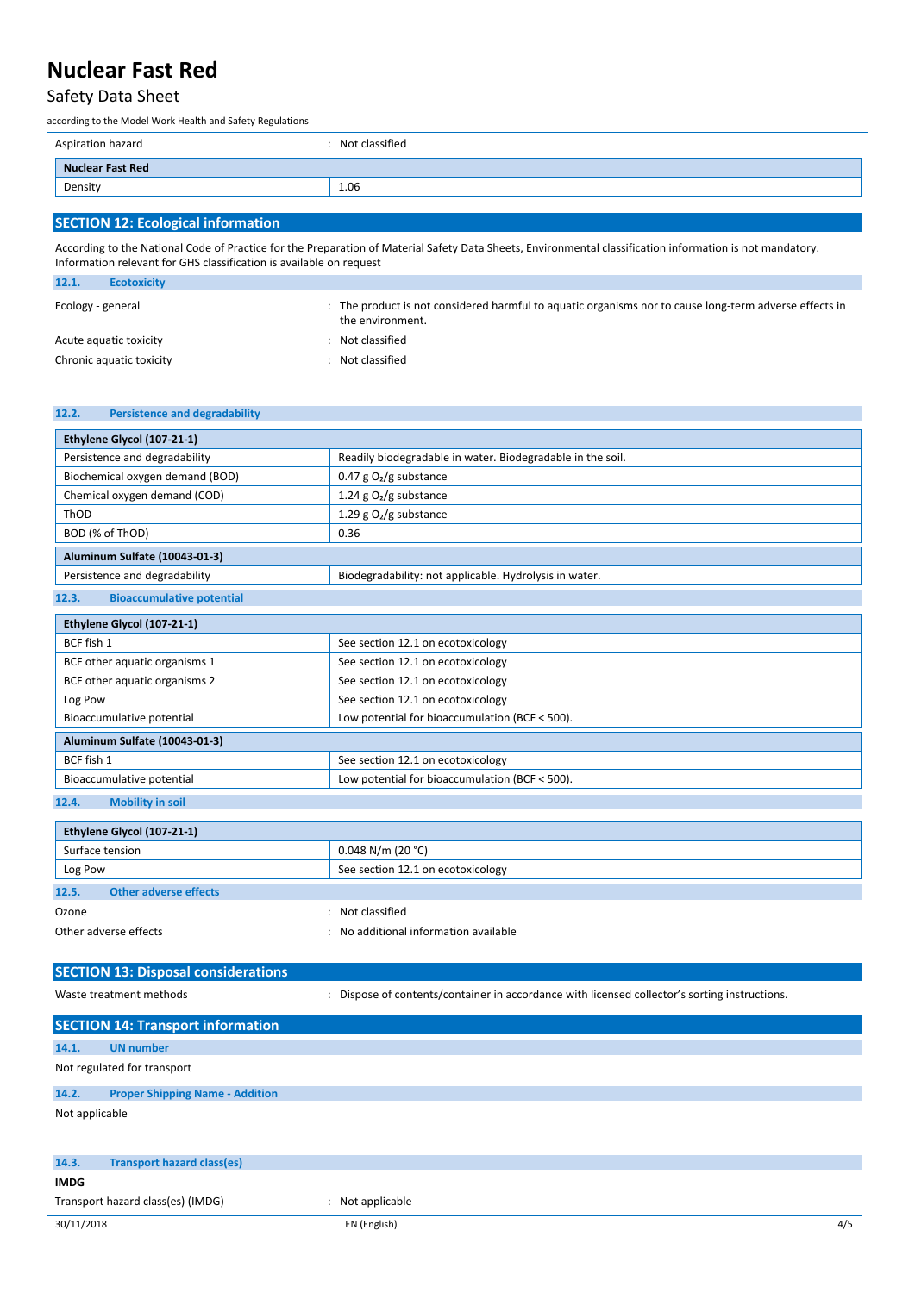### Safety Data Sheet

according to the Model Work Health and Safety Regulations

| Aspiration hazard       | : Not classified |
|-------------------------|------------------|
| <b>Nuclear Fast Red</b> |                  |
| Density                 | 1.06             |
|                         |                  |

### **SECTION 12: Ecological information**

According to the National Code of Practice for the Preparation of Material Safety Data Sheets, Environmental classification information is not mandatory. Information relevant for GHS classification is available on request

| 12.1.             | <b>Ecotoxicity</b>       |                                                                                                                          |
|-------------------|--------------------------|--------------------------------------------------------------------------------------------------------------------------|
| Ecology - general |                          | The product is not considered harmful to aquatic organisms nor to cause long-term adverse effects in<br>the environment. |
|                   | Acute aguatic toxicity   | Not classified                                                                                                           |
|                   | Chronic aquatic toxicity | Not classified                                                                                                           |

#### **12.2. Persistence and degradability**

| Ethylene Glycol (107-21-1)                |                                                            |  |  |  |  |
|-------------------------------------------|------------------------------------------------------------|--|--|--|--|
| Persistence and degradability             | Readily biodegradable in water. Biodegradable in the soil. |  |  |  |  |
| Biochemical oxygen demand (BOD)           | 0.47 g $O_2/g$ substance                                   |  |  |  |  |
| Chemical oxygen demand (COD)              | 1.24 g $O2/g$ substance                                    |  |  |  |  |
| ThOD                                      | 1.29 g $O_2/g$ substance                                   |  |  |  |  |
| BOD (% of ThOD)                           | 0.36                                                       |  |  |  |  |
| Aluminum Sulfate (10043-01-3)             |                                                            |  |  |  |  |
| Persistence and degradability             | Biodegradability: not applicable. Hydrolysis in water.     |  |  |  |  |
| <b>Bioaccumulative potential</b><br>12.3. |                                                            |  |  |  |  |
| Ethylene Glycol (107-21-1)                |                                                            |  |  |  |  |
| BCF fish 1                                | See section 12.1 on ecotoxicology                          |  |  |  |  |
| BCF other aquatic organisms 1             | See section 12.1 on ecotoxicology                          |  |  |  |  |
| BCF other aquatic organisms 2             | See section 12.1 on ecotoxicology                          |  |  |  |  |
| Log Pow                                   | See section 12.1 on ecotoxicology                          |  |  |  |  |
| Bioaccumulative potential                 | Low potential for bioaccumulation (BCF < 500).             |  |  |  |  |
| Aluminum Sulfate (10043-01-3)             |                                                            |  |  |  |  |
| BCF fish 1                                | See section 12.1 on ecotoxicology                          |  |  |  |  |
| Bioaccumulative potential                 | Low potential for bioaccumulation (BCF < 500).             |  |  |  |  |
| <b>Mobility in soil</b><br>12.4.          |                                                            |  |  |  |  |
|                                           |                                                            |  |  |  |  |

| Ethylene Glycol (107-21-1) |                       |                                     |  |  |
|----------------------------|-----------------------|-------------------------------------|--|--|
| Surface tension            |                       | $0.048$ N/m (20 °C)                 |  |  |
| Log Pow                    |                       | See section 12.1 on ecotoxicology   |  |  |
| 12.5.                      | Other adverse effects |                                     |  |  |
| Ozone                      |                       | Not classified                      |  |  |
| Other adverse effects      |                       | No additional information available |  |  |

# **SECTION 13: Disposal considerations**

Waste treatment methods **in the state of contents/container in accordance with licensed collector's sorting instructions.** 

| <b>SECTION 14: Transport information</b> |                                        |                |  |  |
|------------------------------------------|----------------------------------------|----------------|--|--|
| 14.1.                                    | <b>UN</b> number                       |                |  |  |
| Not regulated for transport              |                                        |                |  |  |
| 14.2.                                    | <b>Proper Shipping Name - Addition</b> |                |  |  |
| Not applicable                           |                                        |                |  |  |
| 14.3.                                    | <b>Transport hazard class(es)</b>      |                |  |  |
| <b>IMDG</b>                              |                                        |                |  |  |
| Transport hazard class(es) (IMDG)        |                                        | Not applicable |  |  |